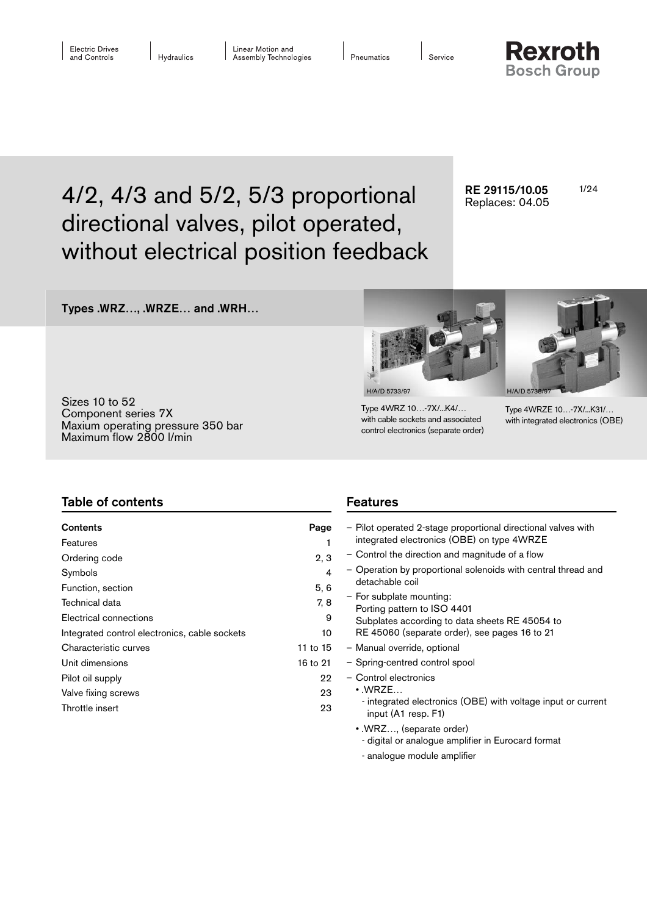Pneumatics

Service

**Rexroth Bosch Group** 

# 4/2, 4/3 and 5/2, 5/3 proportional RE 29115/10.05 1/24 directional valves, pilot operated, without electrical position feedback

RE 29115/10.05 Replaces: 04.05

# Types .WRZ…, .WRZE… and .WRH…

Sizes 10 to 52 Component series 7X Maxium operating pressure 350 bar Maximum flow 2800 l/min



Type 4WRZ 10…-7X/...K4/… with cable sockets and associated control electronics (separate order)

Type 4WRZE 10…-7X/...K31/… with integrated electronics (OBE)

| <b>Table of contents</b>                                               |                | <b>Features</b>                                                                                             |  |  |  |  |
|------------------------------------------------------------------------|----------------|-------------------------------------------------------------------------------------------------------------|--|--|--|--|
| <b>Contents</b><br>Features                                            | Page           | - Pilot operated 2-stage proportional directional valves with<br>integrated electronics (OBE) on type 4WRZE |  |  |  |  |
| Ordering code                                                          | 2, 3           | - Control the direction and magnitude of a flow                                                             |  |  |  |  |
| Symbols                                                                | 4              | - Operation by proportional solenoids with central thread and<br>detachable coil                            |  |  |  |  |
| Function, section<br>Technical data                                    | 5, 6<br>7, 8   | - For subplate mounting:<br>Porting pattern to ISO 4401                                                     |  |  |  |  |
| Electrical connections                                                 | 9              | Subplates according to data sheets RE 45054 to<br>RE 45060 (separate order), see pages 16 to 21             |  |  |  |  |
| Integrated control electronics, cable sockets<br>Characteristic curves | 10<br>11 to 15 | - Manual override, optional                                                                                 |  |  |  |  |
| Unit dimensions                                                        | 16 to 21       | - Spring-centred control spool                                                                              |  |  |  |  |
| Pilot oil supply                                                       | 22             | - Control electronics                                                                                       |  |  |  |  |
| Valve fixing screws                                                    | 23             | $\cdot$ .WRZE                                                                                               |  |  |  |  |
| Throttle insert                                                        | 23             | - integrated electronics (OBE) with voltage input or current<br>input (A1 resp. F1)                         |  |  |  |  |
|                                                                        |                | • WRZ, (separate order)                                                                                     |  |  |  |  |

- digital or analogue amplifier in Eurocard format
- analogue module amplifier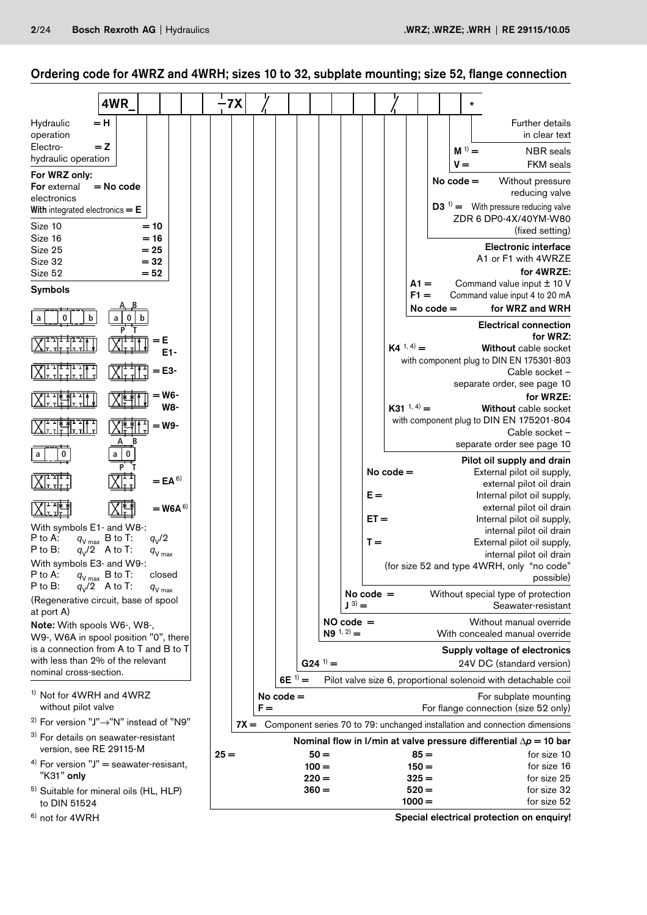# Ordering code for 4WRZ and 4WRH; sizes 10 to 32, subplate mounting; size 52, flange connection

|                                                                                  | 4WR            |                  |                      | $-7X$  |       |             |                       |                             |             |             |                    |             |                      |  |                                                                    |                                                                                    |
|----------------------------------------------------------------------------------|----------------|------------------|----------------------|--------|-------|-------------|-----------------------|-----------------------------|-------------|-------------|--------------------|-------------|----------------------|--|--------------------------------------------------------------------|------------------------------------------------------------------------------------|
| Hydraulic<br>operation<br>Electro-<br>hydraulic operation                        | $= H$<br>$= 2$ |                  |                      |        |       |             |                       |                             |             |             |                    |             | $M^{(1)} =$          |  | <b>Further details</b>                                             | in clear text<br><b>NBR</b> seals                                                  |
| For WRZ only:<br>For external                                                    | $=$ No code    |                  |                      |        |       |             |                       |                             |             |             |                    |             | $V =$<br>No $code =$ |  | Without pressure                                                   | <b>FKM</b> seals                                                                   |
| electronics<br>With integrated electronics $=$ $E$                               |                |                  |                      |        |       |             |                       |                             |             |             |                    |             |                      |  | reducing valve<br>$\mathbf{D3}^{1}$ = With pressure reducing valve |                                                                                    |
| Size 10<br>Size 16                                                               |                | $= 10$<br>$= 16$ |                      |        |       |             |                       |                             |             |             |                    |             |                      |  | ZDR 6 DP0-4X/40YM-W80                                              | (fixed setting)                                                                    |
| Size 25<br>Size 32                                                               |                | $= 25$<br>$= 32$ |                      |        |       |             |                       |                             |             |             |                    |             |                      |  | <b>Electronic interface</b><br>A1 or F1 with 4WRZE                 |                                                                                    |
| Size 52<br><b>Symbols</b>                                                        |                | $= 52$           |                      |        |       |             |                       |                             |             |             | $At =$             |             |                      |  |                                                                    | for 4WRZE:<br>Command value input ± 10 V                                           |
|                                                                                  |                |                  |                      |        |       |             |                       |                             |             |             | $F1 =$             | No $code =$ |                      |  | Command value input 4 to 20 mA<br>for WRZ and WRH                  |                                                                                    |
| b                                                                                |                |                  |                      |        |       |             |                       |                             |             |             |                    |             |                      |  |                                                                    | <b>Electrical connection</b>                                                       |
|                                                                                  |                |                  | $E1 -$               |        |       |             |                       |                             |             |             | $K4^{(1, 4)} =$    |             |                      |  |                                                                    | for WRZ:<br>Without cable socket                                                   |
|                                                                                  |                |                  | = Е3-                |        |       |             |                       |                             |             |             |                    |             |                      |  | with component plug to DIN EN 175301-803<br>Cable socket -         |                                                                                    |
|                                                                                  |                |                  | = W6-<br>W8-         |        |       |             |                       |                             |             |             | $K31^{1,4}$        |             |                      |  |                                                                    | separate order, see page 10<br>for WRZE:                                           |
|                                                                                  |                |                  | = W9-                |        |       |             |                       |                             |             |             |                    |             |                      |  | with component plug to DIN EN 175201-804<br>Cable socket -         | Without cable socket                                                               |
|                                                                                  |                |                  |                      |        |       |             |                       |                             |             |             |                    |             |                      |  | separate order see page 10                                         |                                                                                    |
|                                                                                  |                |                  |                      |        |       |             |                       |                             |             |             |                    |             |                      |  |                                                                    | Pilot oil supply and drain                                                         |
|                                                                                  |                |                  | $=$ EA <sup>6)</sup> |        |       |             |                       |                             |             | No $code =$ |                    |             |                      |  | External pilot oil supply,                                         | external pilot oil drain                                                           |
|                                                                                  |                |                  |                      |        |       |             |                       |                             | $E =$       |             |                    |             |                      |  | Internal pilot oil supply,                                         |                                                                                    |
|                                                                                  |                |                  | $=$ W6A $^{6)}$      |        |       |             |                       |                             | $ET =$      |             |                    |             |                      |  | Internal pilot oil supply,                                         | external pilot oil drain                                                           |
| With symbols E1- and W8-:                                                        |                |                  |                      |        |       |             |                       |                             |             |             |                    |             |                      |  |                                                                    | internal pilot oil drain                                                           |
| P to A:<br>$q_{V \max}$ B to T:<br>P to B:<br>$q_V/2$ A to T:                    |                | $q_V/2$          | $q_{V \max}$         |        |       |             |                       |                             | $T =$       |             |                    |             |                      |  |                                                                    | External pilot oil supply,                                                         |
| With symbols E3- and W9-:                                                        |                |                  |                      |        |       |             |                       |                             |             |             |                    |             |                      |  | (for size 52 and type 4WRH, only "no code"                         | internal pilot oil drain                                                           |
| P to A:<br>$q_{_{\sf V\, max}}$ B to T:                                          |                |                  | closed               |        |       |             |                       |                             |             |             |                    |             |                      |  |                                                                    | possible)                                                                          |
| P to B:<br>$q_V/2$ A to T:<br>(Regenerative circuit, base of spool<br>at port A) |                |                  | $q_{V \text{ max}}$  |        |       |             |                       | $J^{(3)} =$                 | No code $=$ |             |                    |             |                      |  |                                                                    | Without special type of protection<br>Seawater-resistant                           |
| Note: With spools W6-, W8-,<br>W9-, W6A in spool position "0", there             |                |                  |                      |        |       |             |                       | $NO code =$<br>$N9^{1,2} =$ |             |             |                    |             |                      |  | Without manual override<br>With concealed manual override          |                                                                                    |
| is a connection from A to T and B to T                                           |                |                  |                      |        |       |             |                       |                             |             |             |                    |             |                      |  | Supply voltage of electronics                                      |                                                                                    |
| with less than 2% of the relevant<br>nominal cross-section.                      |                |                  |                      |        |       |             | $G24$ <sup>1)</sup> = |                             |             |             |                    |             |                      |  | 24V DC (standard version)                                          |                                                                                    |
|                                                                                  |                |                  |                      |        |       | 6E $1) =$   |                       |                             |             |             |                    |             |                      |  |                                                                    | Pilot valve size 6, proportional solenoid with detachable coil                     |
| <sup>1)</sup> Not for 4WRH and 4WRZ<br>without pilot valve                       |                |                  |                      |        | $F =$ | No $code =$ |                       |                             |             |             |                    |             |                      |  | For subplate mounting<br>For flange connection (size 52 only)      |                                                                                    |
| <sup>2)</sup> For version "J" $\rightarrow$ "N" instead of "N9"                  |                |                  |                      |        |       |             |                       |                             |             |             |                    |             |                      |  |                                                                    | $TX =$ Component series 70 to 79: unchanged installation and connection dimensions |
| <sup>3)</sup> For details on seawater-resistant<br>version, see RE 29115-M       |                |                  |                      |        |       |             |                       |                             |             |             |                    |             |                      |  |                                                                    | Nominal flow in I/min at valve pressure differential $\Delta p = 10$ bar           |
| <sup>4)</sup> For version $"J"$ = seawater-resisant,                             |                |                  |                      | $25 =$ |       |             | $50 =$<br>$100 =$     |                             |             |             | $85 =$<br>$150 =$  |             |                      |  |                                                                    | for size 10<br>for size 16                                                         |
| "K31" only<br><sup>5)</sup> Suitable for mineral oils (HL, HLP)                  |                |                  |                      |        |       |             | $220 =$<br>$360 =$    |                             |             |             | $325 =$<br>$520 =$ |             |                      |  |                                                                    | for size 25<br>for size 32                                                         |
| to DIN 51524                                                                     |                |                  |                      |        |       |             |                       |                             |             |             | $1000 =$           |             |                      |  |                                                                    | for size 52                                                                        |

6) not for 4WRH

Special electrical protection on enquiry!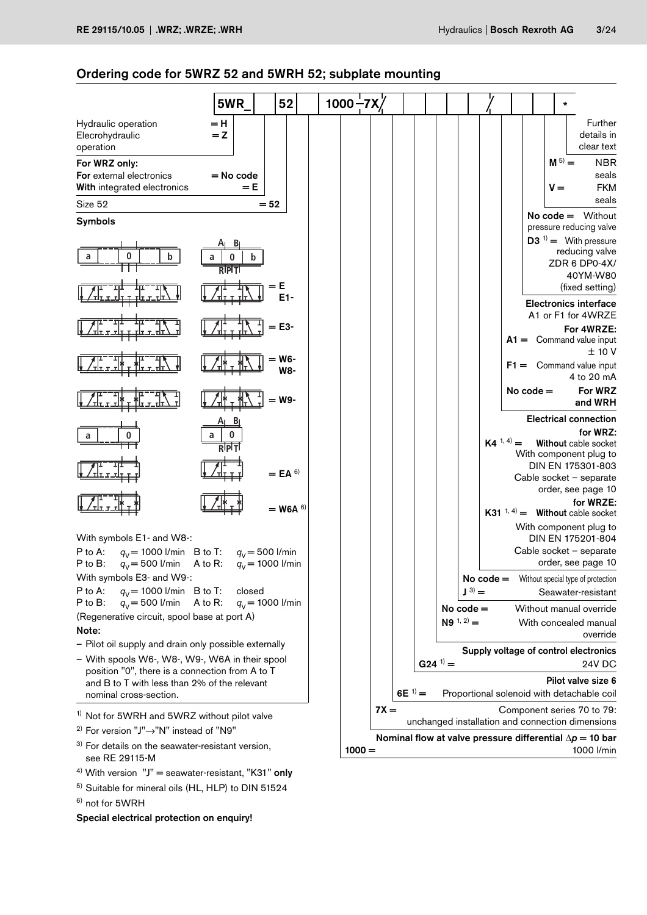# Ordering code for 5WRZ 52 and 5WRH 52; subplate mounting

|                                                                                                                    | 5WR                                     | 52                                      | $1000 - 7X$ |          |                                                                 |                       |                             |             |                 |             | $\star$              |                                                                                             |
|--------------------------------------------------------------------------------------------------------------------|-----------------------------------------|-----------------------------------------|-------------|----------|-----------------------------------------------------------------|-----------------------|-----------------------------|-------------|-----------------|-------------|----------------------|---------------------------------------------------------------------------------------------|
| Hydraulic operation<br>Elecrohydraulic<br>operation                                                                | $=$ H<br>$= 2$                          |                                         |             |          |                                                                 |                       |                             |             |                 |             |                      | Further<br>details in<br>clear text                                                         |
| For WRZ only:<br><b>For</b> external electronics<br>With integrated electronics                                    | = No code<br>$= E$                      |                                         |             |          |                                                                 |                       |                             |             |                 |             | $M^{(5)} =$<br>$V =$ | <b>NBR</b><br>seals<br><b>FKM</b>                                                           |
| Size 52                                                                                                            |                                         | $= 52$                                  |             |          |                                                                 |                       |                             |             |                 |             |                      | seals                                                                                       |
| <b>Symbols</b>                                                                                                     |                                         |                                         |             |          |                                                                 |                       |                             |             |                 |             |                      | $No code = Without$<br>pressure reducing valve                                              |
| 0<br>a                                                                                                             | 0<br>a<br>$\mathbf b$<br>$R$ p $\neg$ T |                                         |             |          |                                                                 |                       |                             |             |                 |             |                      | $D3^{-1}$ = With pressure<br>reducing valve<br>ZDR 6 DP0-4X/<br>40YM-W80<br>(fixed setting) |
|                                                                                                                    |                                         |                                         |             |          |                                                                 |                       |                             |             |                 |             |                      | <b>Electronics interface</b>                                                                |
|                                                                                                                    |                                         | = Е3-                                   |             |          |                                                                 |                       |                             |             |                 |             |                      | A1 or F1 for 4WRZE<br>For 4WRZE:<br>$A1 =$ Command value input                              |
|                                                                                                                    |                                         | W6-<br>W8-                              |             |          |                                                                 |                       |                             |             |                 |             |                      | ± 10 V<br>$F1 =$ Command value input<br>4 to 20 mA                                          |
|                                                                                                                    |                                         | $=$ W9-                                 |             |          |                                                                 |                       |                             |             |                 | No code $=$ |                      | For WRZ<br>and WRH                                                                          |
|                                                                                                                    |                                         |                                         |             |          |                                                                 |                       |                             |             |                 |             |                      | <b>Electrical connection</b>                                                                |
|                                                                                                                    | <b>RIPIT</b>                            |                                         |             |          |                                                                 |                       |                             |             | $K4^{(1, 4)} =$ |             |                      | for WRZ:<br>Without cable socket<br>With component plug to                                  |
|                                                                                                                    |                                         | $=$ EA $6$                              |             |          |                                                                 |                       |                             |             |                 |             |                      | DIN EN 175301-803<br>Cable socket - separate                                                |
|                                                                                                                    |                                         | $=$ W6A $6)$                            |             |          |                                                                 |                       |                             |             |                 |             |                      | order, see page 10<br>for WRZE:<br>K31 $1, 4$ = Without cable socket                        |
| With symbols E1- and W8-:                                                                                          |                                         |                                         |             |          |                                                                 |                       |                             |             |                 |             |                      | With component plug to<br>DIN EN 175201-804                                                 |
| P to A:<br>$q_v$ = 1000 l/min B to T:<br>$q_V = 500$ I/min<br>P to B:                                              | A to R:                                 | $q_V = 500$ I/min<br>$q_V$ = 1000 l/min |             |          |                                                                 |                       |                             |             |                 |             |                      | Cable socket - separate<br>order, see page 10                                               |
| With symbols E3- and W9-:                                                                                          |                                         |                                         |             |          |                                                                 |                       |                             | No code $=$ |                 |             |                      | Without special type of protection                                                          |
| P to A:<br>$q_v = 1000$ I/min B to T:<br>$q_V = 500$ I/min<br>$P$ to $B$ :                                         | closed<br>A to R:                       | $q_V$ = 1000 l/min                      |             |          |                                                                 |                       | $J^{(3)} =$                 |             |                 |             |                      | Seawater-resistant                                                                          |
| (Regenerative circuit, spool base at port A)                                                                       |                                         |                                         |             |          |                                                                 |                       | No code $=$<br>$N9^{1,2} =$ |             |                 |             |                      | Without manual override<br>With concealed manual                                            |
| Note:                                                                                                              |                                         |                                         |             |          |                                                                 |                       |                             |             |                 |             |                      | override                                                                                    |
| - Pilot oil supply and drain only possible externally<br>- With spools W6-, W8-, W9-, W6A in their spool           |                                         |                                         |             |          |                                                                 |                       |                             |             |                 |             |                      | Supply voltage of control electronics                                                       |
| position "0", there is a connection from A to T                                                                    |                                         |                                         |             |          |                                                                 | $G24$ <sup>1)</sup> = |                             |             |                 |             |                      | <b>24V DC</b>                                                                               |
| and B to T with less than 2% of the relevant<br>nominal cross-section.                                             |                                         |                                         |             |          | $6E^{-1} =$                                                     |                       |                             |             |                 |             |                      | Pilot valve size 6<br>Proportional solenoid with detachable coil                            |
|                                                                                                                    |                                         |                                         |             | $7X =$   |                                                                 |                       |                             |             |                 |             |                      | Component series 70 to 79:                                                                  |
| <sup>1)</sup> Not for 5WRH and 5WRZ without pilot valve                                                            |                                         |                                         |             |          |                                                                 |                       |                             |             |                 |             |                      | unchanged installation and connection dimensions                                            |
| <sup>2)</sup> For version "J"->"N" instead of "N9"<br><sup>3)</sup> For details on the seawater-resistant version, |                                         |                                         |             |          | Nominal flow at valve pressure differential $\Delta p = 10$ bar |                       |                             |             |                 |             |                      |                                                                                             |
| see RE 29115-M                                                                                                     |                                         |                                         |             | $1000 =$ |                                                                 |                       |                             |             |                 |             |                      | 1000 l/min                                                                                  |

- $4)$  With version  $"J"$  = seawater-resistant, "K31" only
- 5) Suitable for mineral oils (HL, HLP) to DIN 51524

6) not for 5WRH

Special electrical protection on enquiry!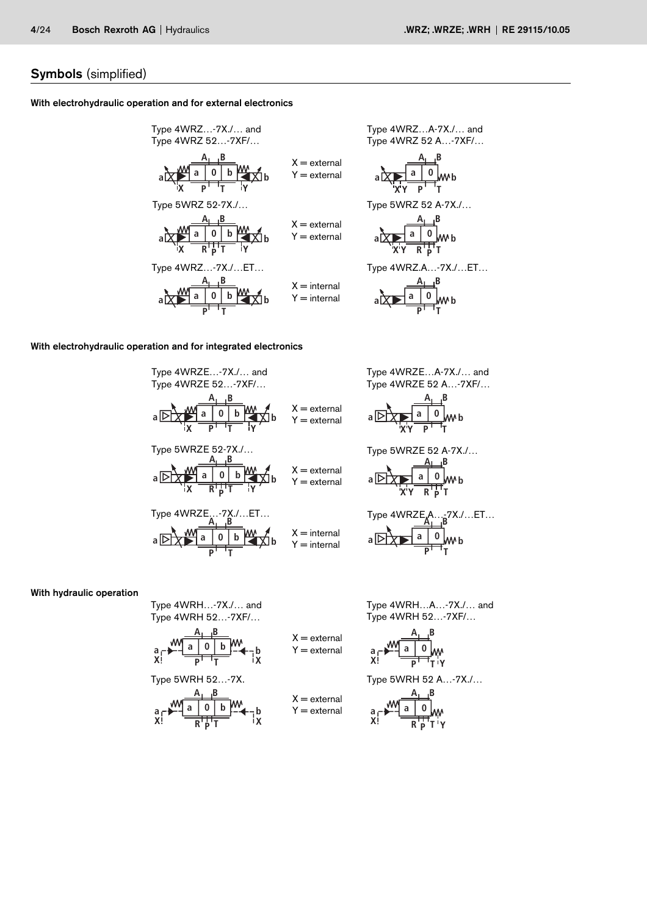# Symbols (simplified)

# With electrohydraulic operation and for external electronics

**X a A B P T a 0b X Y a b R A B a 0b a b X a A B P T a 0b X Y a b** Type 5WRZ 52-7X./… Type 4WRZ…-7X./…ET… X = external Y = external X = external Y = external X = internal Y = internal Type 4WRZ…-7X./… and Type 4WRZ 52…-7XF/…

/RZ...A-7X./... and  $TRZ 52 A...-7XF/...$ 

$$
\begin{array}{c}\n \begin{array}{c}\n A_{\perp} B \\
 \hline\n 1 & 0 \\
 Wb\n\end{array}\n \end{array}
$$

/RZ 52 A-7X./...

$$
\begin{array}{c}\n \begin{array}{c}\n \overline{A_1} & B \\
 \hline\n 3 & 0 \\
 \hline\n \end{array} \\
 \hline\n \begin{array}{c}\n 3 \\
 \hline\n 7 \end{array} \\
 \end{array}
$$

RZ.A…-7X./…ET…

$$
\begin{array}{c}\n \overline{A_1} \phantom{+} B \\
\hline\n a \phantom{+} A \phantom{+} B \\
\hline\n a \phantom{+} B \phantom{+} A \phantom{+} B \\
\hline\n a \phantom{+} B \phantom{+} A \phantom{+} B\n\end{array}
$$

# With electrohydraulic operation and for integrated electronics

**T P**

Type 4WRZE 52...7XF/... and  
\nType 4WRZE 52...7XF/...  
\n
$$
A_1
$$
 B  
\na  $\overrightarrow{b}$  A B  
\nY = external  
\nY = external  
\nType 5WRZE 52-7X/...  
\n $A_1$  B  
\n $A_2$  B  
\n $X$  = external  
\nType 5WRZE 52-7X/...  
\n $A_1$  B  
\n $X$  = external  
\nY = external  
\nY = external  
\nY = external  
\n  
\nType 4WRZE...-7X/...ET...  
\n $A_1$  B  
\n $X$  = internal  
\n $Y$  = internal  
\n $Y$  = internal

Type 4WRZE…A-7X./… and Type 4WRZE 52 A…-7XF/…

$$
\begin{array}{c|c}\n & A_1 B \\
\hline\nA & 0 \\
\hline\n\end{array}
$$

Type 5WRZE 52 A-7X./…

$$
\begin{array}{c|c}\n & A \quad B \\
\hline\nB \quad A \quad B \\
\hline\nB \quad A \quad B \quad B \\
\hline\nB \quad A \quad B \quad B \\
\hline\nB \quad B \quad B \quad T\n\end{array}
$$

**A B** Type 4WRZE.A…-7X./…ET… **P T a 0 <sup>b</sup>**

# With hydraulic operation

Type 4WRH…-7X./… and Type 4WRH 52…-7XF/…

$$
\begin{array}{ccc}\n & A_1 \perp B \\
a & \searrow \\
X & \searrow \\
X & \searrow\n\end{array}
$$
\n
$$
\begin{array}{ccc}\n & A_1 \perp B \\
 & \searrow \\
 & A_1 \perp B \\
 & \searrow \\
 & \searrow \\
 & Y = \text{external} \\
 & X\n\end{array}
$$

 $X =$  external  $Y =$  external

**X**

$$
\begin{array}{c}\n\mathbf{a} \\
\mathbf{a} \\
\mathbf{X}^{\dagger}\n\end{array}
$$

Type 4WRH…A…-7X./… and Type 4WRH 52…-7XF/…

$$
\begin{array}{c}\n a \\
 B \\
 \hline\n Y\n \end{array}
$$

Type 5WRH 52…-7X. Type 5WRH 52 A…-7X./…

$$
\begin{array}{c}\n a - \frac{M}{R} = \frac{A_1}{R} = \frac{B}{R} \\
 \times 1 = \frac{B_1}{R} = \frac{B_1}{R} = \frac{B_1}{R} \\
 \end{array}
$$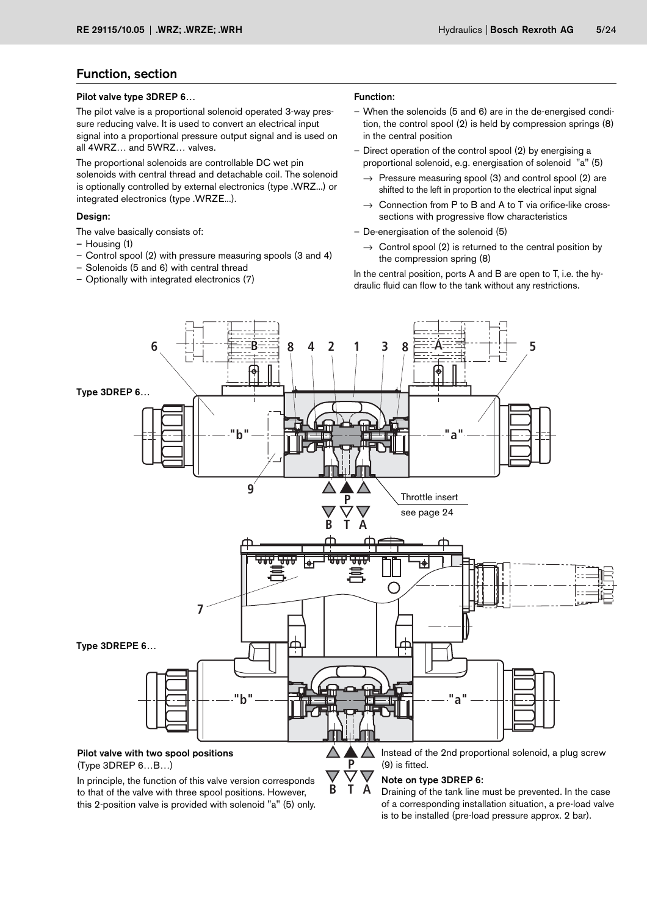# Function, section

#### Pilot valve type 3DREP 6…

The pilot valve is a proportional solenoid operated 3-way pressure reducing valve. It is used to convert an electrical input signal into a proportional pressure output signal and is used on all 4WRZ… and 5WRZ… valves.

The proportional solenoids are controllable DC wet pin solenoids with central thread and detachable coil. The solenoid is optionally controlled by external electronics (type .WRZ...) or integrated electronics (type .WRZE...).

#### Design:

The valve basically consists of:

- Housing (1)
- Control spool (2) with pressure measuring spools (3 and 4)
- Solenoids (5 and 6) with central thread
- Optionally with integrated electronics (7)

#### Function:

- When the solenoids (5 and 6) are in the de-energised condition, the control spool (2) is held by compression springs (8) in the central position
- Direct operation of the control spool (2) by energising a proportional solenoid, e.g. energisation of solenoid "a" (5)
	- $\rightarrow$  Pressure measuring spool (3) and control spool (2) are shifted to the left in proportion to the electrical input signal
	- $\rightarrow$  Connection from P to B and A to T via orifice-like crosssections with progressive flow characteristics
- De-energisation of the solenoid (5)
	- $\rightarrow$  Control spool (2) is returned to the central position by the compression spring (8)

In the central position, ports A and B are open to T, i.e. the hydraulic fluid can flow to the tank without any restrictions.



this 2-position valve is provided with solenoid "a" (5) only.

of a corresponding installation situation, a pre-load valve is to be installed (pre-load pressure approx. 2 bar).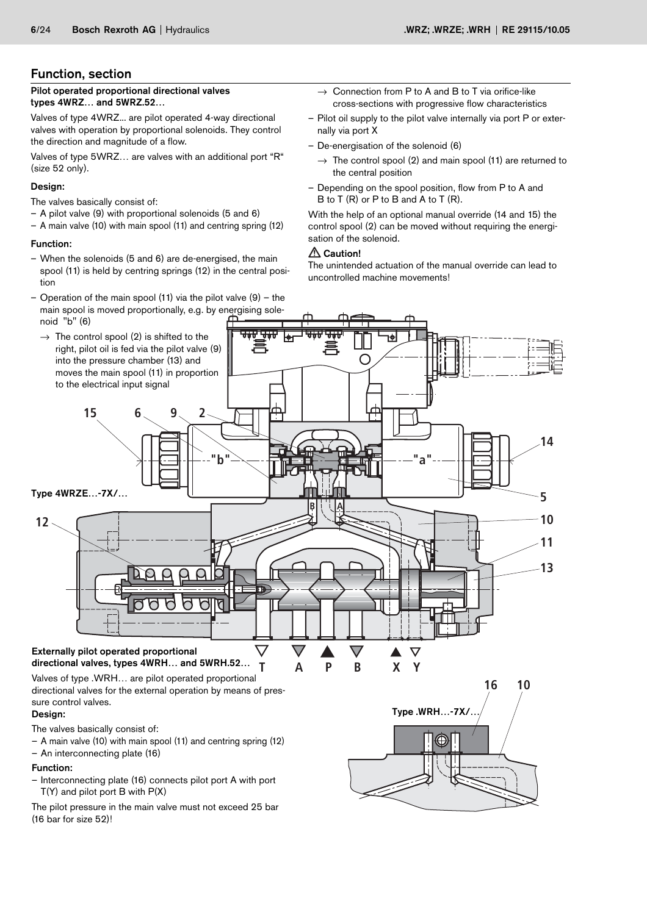# Function, section

Pilot operated proportional directional valves types 4WRZ… and 5WRZ.52…

Valves of type 4WRZ... are pilot operated 4-way directional valves with operation by proportional solenoids. They control the direction and magnitude of a flow.

Valves of type 5WRZ… are valves with an additional port "R" (size 52 only).

# Design:

The valves basically consist of:

- A pilot valve (9) with proportional solenoids (5 and 6)
- A main valve (10) with main spool (11) and centring spring (12)

## Function:

- When the solenoids (5 and 6) are de-energised, the main spool (11) is held by centring springs (12) in the central position
- Operation of the main spool (11) via the pilot valve  $(9)$  the main spool is moved proportionally, e.g. by energising solenoid "b" (6)
- $\rightarrow$  Connection from P to A and B to T via orifice-like cross-sections with progressive flow characteristics
- Pilot oil supply to the pilot valve internally via port P or externally via port X
- De-energisation of the solenoid (6)
	- $\rightarrow$  The control spool (2) and main spool (11) are returned to the central position
- Depending on the spool position, flow from P to A and B to T (R) or P to B and A to T (R).

With the help of an optional manual override (14 and 15) the control spool (2) can be moved without requiring the energisation of the solenoid.

## $\triangle$  Caution!

The unintended actuation of the manual override can lead to uncontrolled machine movements!



– Interconnecting plate (16) connects pilot port A with port T(Y) and pilot port B with P(X)

The pilot pressure in the main valve must not exceed 25 bar (16 bar for size 52)!

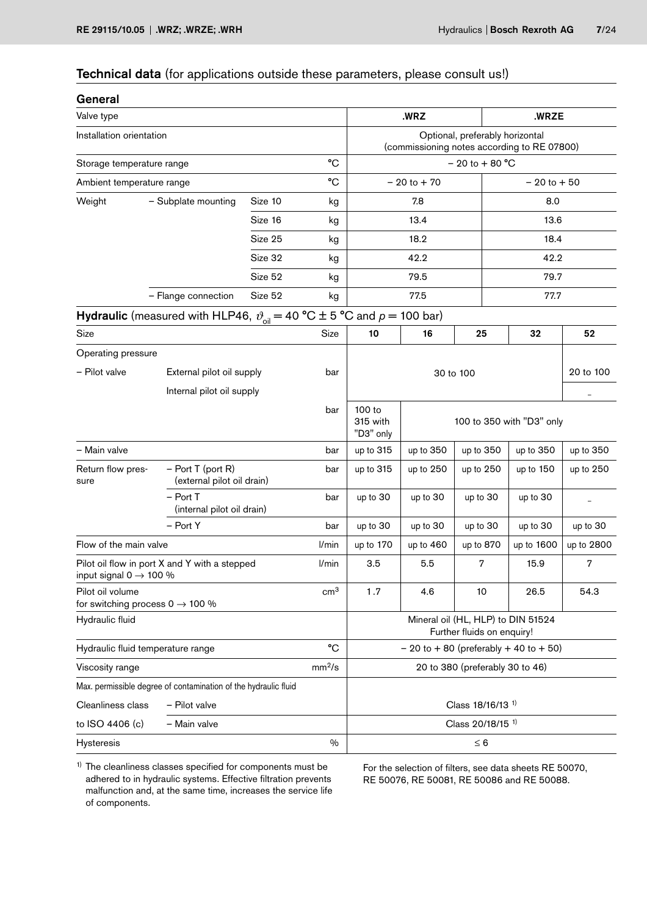# Technical data (for applications outside these parameters, please consult us!)

| General                                                          |                                                                                                                              |                            |                    |                                                                                |                           |                              |                |            |  |  |  |
|------------------------------------------------------------------|------------------------------------------------------------------------------------------------------------------------------|----------------------------|--------------------|--------------------------------------------------------------------------------|---------------------------|------------------------------|----------------|------------|--|--|--|
| Valve type                                                       |                                                                                                                              |                            |                    |                                                                                | .WRZ                      |                              | .WRZE          |            |  |  |  |
| Installation orientation                                         |                                                                                                                              |                            |                    | Optional, preferably horizontal<br>(commissioning notes according to RE 07800) |                           |                              |                |            |  |  |  |
| Storage temperature range                                        |                                                                                                                              |                            | °C                 |                                                                                |                           | $-20$ to $+80$ °C            |                |            |  |  |  |
| Ambient temperature range                                        |                                                                                                                              |                            | °C                 |                                                                                | $-20$ to $+70$            |                              | $-20$ to $+50$ |            |  |  |  |
| Weight                                                           | - Subplate mounting                                                                                                          | Size 10                    | kg                 |                                                                                | 7.8                       |                              | 8.0            |            |  |  |  |
|                                                                  |                                                                                                                              | Size 16                    | kg                 |                                                                                | 13.4                      |                              | 13.6           |            |  |  |  |
|                                                                  |                                                                                                                              | Size 25                    | kg                 |                                                                                | 18.2                      |                              | 18.4           |            |  |  |  |
|                                                                  |                                                                                                                              | Size 32                    | kg                 |                                                                                | 42.2                      |                              | 42.2           |            |  |  |  |
|                                                                  |                                                                                                                              | Size 52                    | kg                 |                                                                                | 79.5                      |                              | 79.7           |            |  |  |  |
|                                                                  | - Flange connection                                                                                                          | Size 52                    | kg                 |                                                                                | 77.5                      |                              | 77.7           |            |  |  |  |
|                                                                  | <b>Hydraulic</b> (measured with HLP46, $\vartheta_{\text{oil}} = 40 \text{ °C} \pm 5 \text{ °C}$ and $p = 100 \text{ bar}$ ) |                            |                    |                                                                                |                           |                              |                |            |  |  |  |
| Size                                                             |                                                                                                                              |                            | Size               | 10                                                                             | 16                        | 25                           | 32             | 52         |  |  |  |
| Operating pressure                                               |                                                                                                                              |                            |                    |                                                                                |                           |                              |                |            |  |  |  |
| - Pilot valve                                                    | External pilot oil supply                                                                                                    |                            | bar                |                                                                                | 20 to 100                 |                              |                |            |  |  |  |
|                                                                  |                                                                                                                              | Internal pilot oil supply  |                    | -                                                                              |                           |                              |                |            |  |  |  |
|                                                                  |                                                                                                                              |                            |                    | 100 to<br>315 with<br>"D3" only                                                | 100 to 350 with "D3" only |                              |                |            |  |  |  |
| - Main valve                                                     |                                                                                                                              |                            | bar                | up to 315                                                                      | up to 350                 | up to 350                    | up to 350      | up to 350  |  |  |  |
| Return flow pres-<br>sure                                        | $-$ Port T (port R)<br>(external pilot oil drain)                                                                            |                            | bar                | up to 315                                                                      | up to 250                 | up to 250                    | up to 150      | up to 250  |  |  |  |
|                                                                  | $-$ Port T                                                                                                                   | (internal pilot oil drain) |                    |                                                                                | up to $30$                | up to 30                     | up to 30       |            |  |  |  |
|                                                                  | - Port Y                                                                                                                     |                            | bar                | up to 30                                                                       | up to 30                  | up to 30                     | up to 30       | up to 30   |  |  |  |
| Flow of the main valve                                           |                                                                                                                              |                            | l/min              | up to 170                                                                      | up to 460                 | up to 870                    | up to 1600     | up to 2800 |  |  |  |
| input signal $0 \rightarrow 100 \%$                              | Pilot oil flow in port X and Y with a stepped                                                                                |                            | l/min              | 3.5                                                                            | 5.5                       | 7                            | 15.9           | 7          |  |  |  |
| Pilot oil volume<br>for switching process $0 \rightarrow 100 \%$ |                                                                                                                              |                            | $\rm cm^3$         | 1.7                                                                            | 4.6                       | 10                           | 26.5           | 54.3       |  |  |  |
| Hydraulic fluid                                                  |                                                                                                                              |                            |                    | Mineral oil (HL, HLP) to DIN 51524<br>Further fluids on enquiry!               |                           |                              |                |            |  |  |  |
| Hydraulic fluid temperature range                                |                                                                                                                              |                            | °C                 | $-20$ to $+80$ (preferably $+40$ to $+50$ )                                    |                           |                              |                |            |  |  |  |
| Viscosity range                                                  |                                                                                                                              |                            | mm <sup>2</sup> /s | 20 to 380 (preferably 30 to 46)                                                |                           |                              |                |            |  |  |  |
|                                                                  | Max. permissible degree of contamination of the hydraulic fluid                                                              |                            |                    |                                                                                |                           |                              |                |            |  |  |  |
| Cleanliness class                                                | - Pilot valve                                                                                                                |                            |                    |                                                                                |                           | Class 18/16/13 <sup>1)</sup> |                |            |  |  |  |
| to ISO 4406 (c)                                                  | - Main valve                                                                                                                 |                            |                    |                                                                                |                           | Class 20/18/15 <sup>1)</sup> |                |            |  |  |  |
| Hysteresis                                                       |                                                                                                                              |                            | $\%$               | $\leq 6$                                                                       |                           |                              |                |            |  |  |  |

<sup>1)</sup> The cleanliness classes specified for components must be adhered to in hydraulic systems. Effective filtration prevents malfunction and, at the same time, increases the service life of components.

For the selection of filters, see data sheets RE 50070, RE 50076, RE 50081, RE 50086 and RE 50088.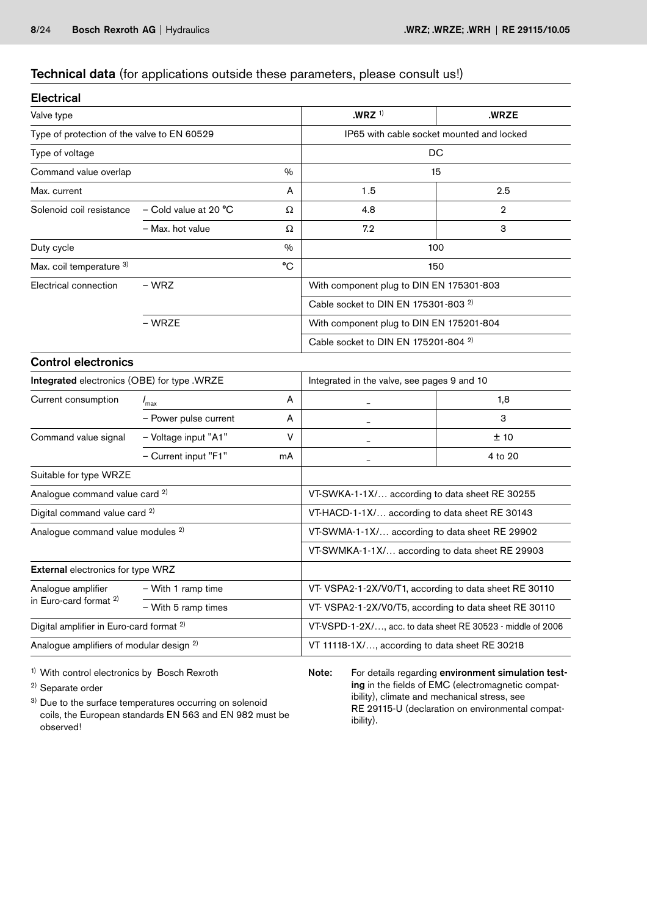# Technical data (for applications outside these parameters, please consult us!)

| <b>Electrical</b>                                   |                       |               |                                                             |             |  |  |  |
|-----------------------------------------------------|-----------------------|---------------|-------------------------------------------------------------|-------------|--|--|--|
| Valve type                                          |                       |               | $.WRZ$ <sup>1)</sup>                                        | .WRZE       |  |  |  |
| Type of protection of the valve to EN 60529         |                       |               | IP65 with cable socket mounted and locked                   |             |  |  |  |
| Type of voltage                                     |                       |               |                                                             | DC          |  |  |  |
| Command value overlap                               |                       | $\%$          |                                                             | 15          |  |  |  |
| Max. current                                        |                       | A             | 1.5                                                         | 2.5         |  |  |  |
| Solenoid coil resistance                            | - Cold value at 20 °C | Ω             | 4.8                                                         | $\mathbf 2$ |  |  |  |
|                                                     | - Max. hot value      | Ω             | 7.2                                                         | 3           |  |  |  |
| Duty cycle                                          |                       | $\frac{0}{0}$ |                                                             | 100         |  |  |  |
| Max. coil temperature 3)                            |                       | °C            |                                                             | 150         |  |  |  |
| Electrical connection                               | – WRZ                 |               | With component plug to DIN EN 175301-803                    |             |  |  |  |
|                                                     |                       |               | Cable socket to DIN EN 175301-803 <sup>2)</sup>             |             |  |  |  |
|                                                     | – WRZE                |               | With component plug to DIN EN 175201-804                    |             |  |  |  |
|                                                     |                       |               | Cable socket to DIN EN 175201-804 <sup>2)</sup>             |             |  |  |  |
| <b>Control electronics</b>                          |                       |               |                                                             |             |  |  |  |
| Integrated electronics (OBE) for type .WRZE         |                       |               | Integrated in the valve, see pages 9 and 10                 |             |  |  |  |
| Current consumption                                 | $I_{\text{max}}$      | А             |                                                             | 1,8         |  |  |  |
|                                                     | - Power pulse current | A             |                                                             | 3           |  |  |  |
| Command value signal                                | - Voltage input "A1"  | V             | L.                                                          | ±10         |  |  |  |
|                                                     | - Current input "F1"  | mA            |                                                             | 4 to 20     |  |  |  |
| Suitable for type WRZE                              |                       |               |                                                             |             |  |  |  |
| Analogue command value card <sup>2)</sup>           |                       |               | VT-SWKA-1-1X/ according to data sheet RE 30255              |             |  |  |  |
| Digital command value card <sup>2)</sup>            |                       |               | VT-HACD-1-1X/ according to data sheet RE 30143              |             |  |  |  |
| Analogue command value modules <sup>2)</sup>        |                       |               | VT-SWMA-1-1X/ according to data sheet RE 29902              |             |  |  |  |
|                                                     |                       |               | VT-SWMKA-1-1X/ according to data sheet RE 29903             |             |  |  |  |
| <b>External electronics for type WRZ</b>            |                       |               |                                                             |             |  |  |  |
| Analogue amplifier                                  | - With 1 ramp time    |               | VT- VSPA2-1-2X/V0/T1, according to data sheet RE 30110      |             |  |  |  |
| in Euro-card format <sup>2)</sup>                   | - With 5 ramp times   |               | VT-VSPA2-1-2X/V0/T5, according to data sheet RE 30110       |             |  |  |  |
| Digital amplifier in Euro-card format <sup>2)</sup> |                       |               | VT-VSPD-1-2X/, acc. to data sheet RE 30523 - middle of 2006 |             |  |  |  |
| Analogue amplifiers of modular design <sup>2)</sup> |                       |               | VT 11118-1X/, according to data sheet RE 30218              |             |  |  |  |

1) With control electronics by Bosch Rexroth

2) Separate order

<sup>3)</sup> Due to the surface temperatures occurring on solenoid coils, the European standards EN 563 and EN 982 must be observed!

Note: For details regarding environment simulation testing in the fields of EMC (electromagnetic compatibility), climate and mechanical stress, see RE 29115-U (declaration on environmental compatibility).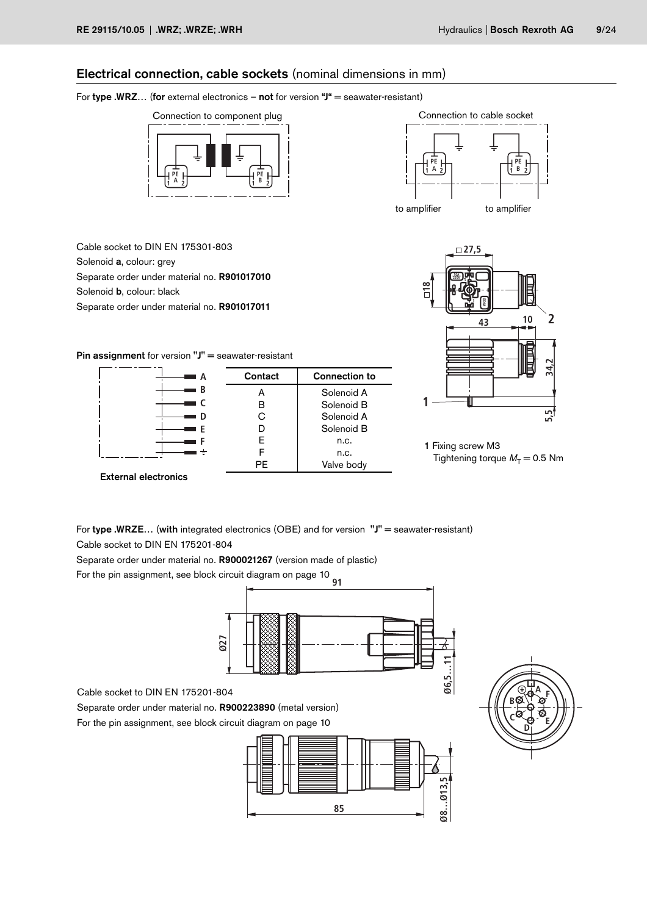# Electrical connection, cable sockets (nominal dimensions in mm)

## For type .WRZ... (for external electronics – not for version " $J^*$  = seawater-resistant)





Cable socket to DIN EN 175301-803 Solenoid a, colour: grey Separate order under material no. R901017010 Solenoid **b**, colour: black Separate order under material no. R901017011



Pin assignment for version "J" = seawater-resistant





For type .WRZE... (with integrated electronics (OBE) and for version  $"J"$  = seawater-resistant) Cable socket to DIN EN 175201-804

Separate order under material no. R900021267 (version made of plastic)

**91** For the pin assignment, see block circuit diagram on page 10



Cable socket to DIN EN 175201-804

Separate order under material no. R900223890 (metal version) For the pin assignment, see block circuit diagram on page 10



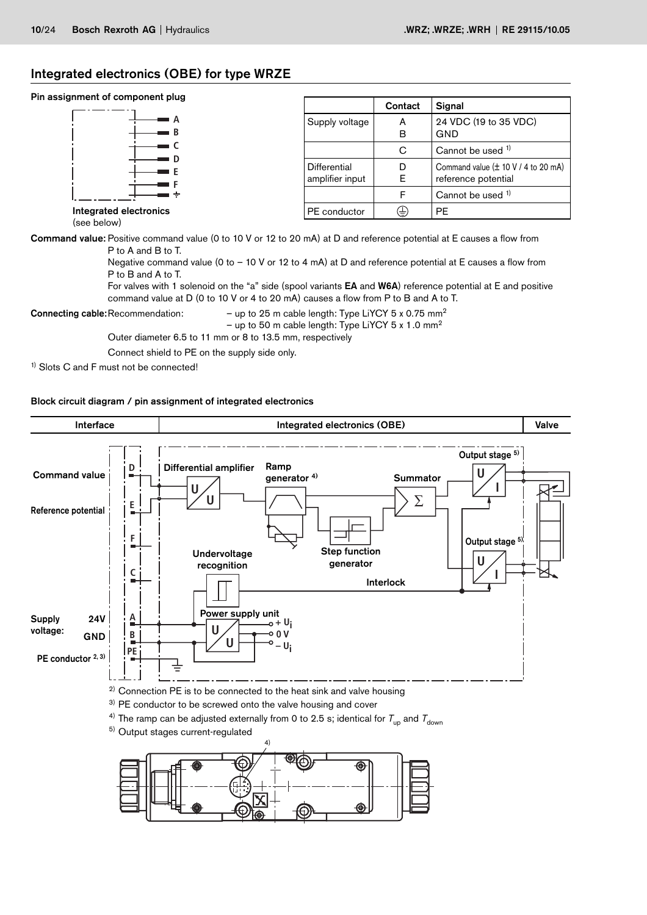# Integrated electronics (OBE) for type WRZE

# Pin assignment of component plug

| aidiilliciir ol colliboliciir bind    |                 | Contact | Signal                                                           |
|---------------------------------------|-----------------|---------|------------------------------------------------------------------|
| A                                     | Supply voltage  | A       | 24 VDC (19 to 35 VDC)                                            |
|                                       |                 | в       | GND                                                              |
|                                       |                 | С       | Cannot be used <sup>1)</sup>                                     |
| Ð                                     | Differential    | D       | Command value $(\pm 10 \text{ V} / 4 \text{ to } 20 \text{ mA})$ |
|                                       | amplifier input | E       | reference potential                                              |
|                                       |                 |         | Cannot be used 1)                                                |
| Integrated electronics<br>(coo holow) | PE conductor    | ⊕       | <b>PE</b>                                                        |

(see below)

Command value: Positive command value (0 to 10 V or 12 to 20 mA) at D and reference potential at E causes a flow from P to A and B to T.

> Negative command value (0 to – 10 V or 12 to 4 mA) at D and reference potential at E causes a flow from P to B and A to T.

For valves with 1 solenoid on the "a" side (spool variants EA and W6A) reference potential at E and positive command value at D (0 to 10 V or 4 to 20 mA) causes a flow from P to B and A to T.

**Connecting cable:** Recommendation:  $-$  up to 25 m cable length: Type LiYCY 5 x 0.75 mm<sup>2</sup>

– up to 50 m cable length: Type LiYCY 5 x 1.0 mm<sup>2</sup>

Outer diameter 6.5 to 11 mm or 8 to 13.5 mm, respectively

Connect shield to PE on the supply side only.

<sup>1)</sup> Slots C and F must not be connected!

#### Block circuit diagram / pin assignment of integrated electronics

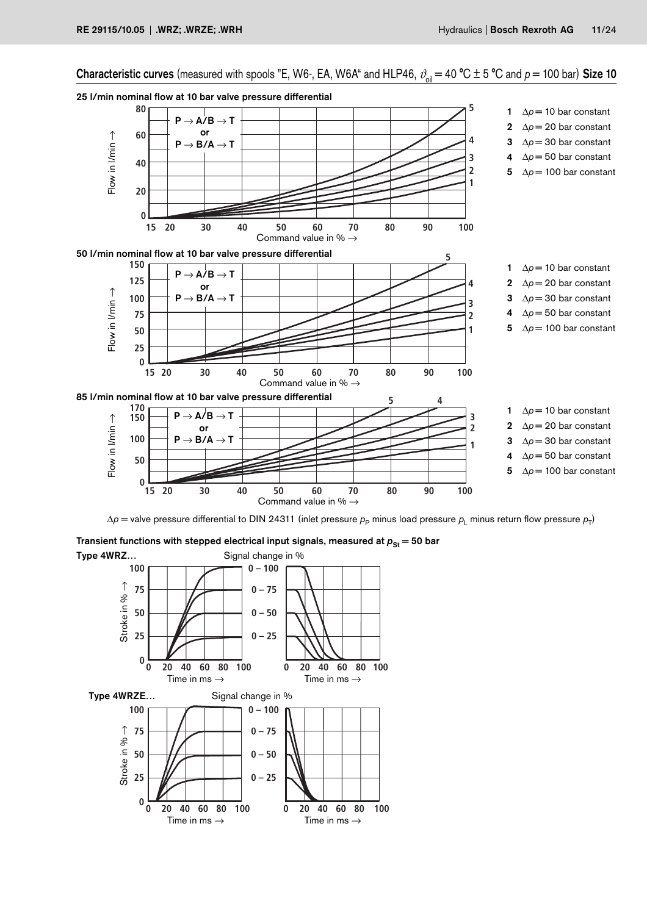Characteristic curves (measured with spools "E, W6-, EA, W6A" and HLP46,  $\vartheta_{\text{oil}} = 40 \degree \text{C} \pm 5 \degree \text{C}$  and  $p = 100$  bar) Size 10



Transient functions with stepped electrical input signals, measured at  $p_{\rm St} = 50$  bar

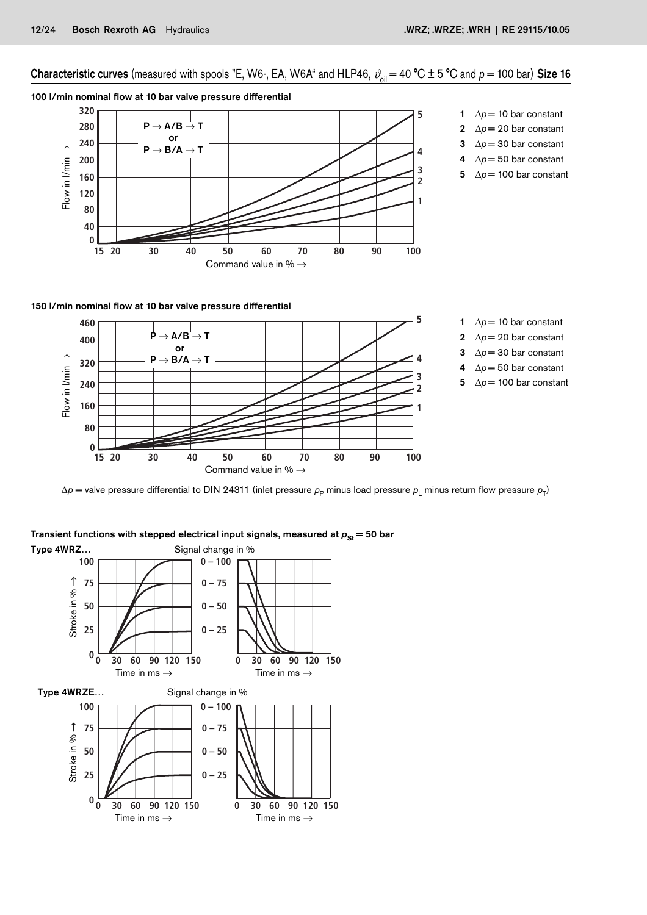# Characteristic curves (measured with spools "E, W6-, EA, W6A" and HLP46,  $\vartheta_{\text{oil}} = 40 \text{ °C} \pm 5 \text{ °C}$  and  $p = 100 \text{ bar}$ ) Size 16

# 100 l/min nominal flow at 10 bar valve pressure differential



- 1  $\Delta p = 10$  bar constant
- 2  $\Delta p = 20$  bar constant
- 3  $\Delta p = 30$  bar constant
- 4 ∆*p* = 50 bar constant
- 5  $\Delta p = 100$  bar constant

# 150 l/min nominal flow at 10 bar valve pressure differential



- 1  $\Delta p = 10$  bar constant
- 2  $\Delta p = 20$  bar constant
- 3  $\Delta p = 30$  bar constant
- 4 ∆*p* = 50 bar constant
- 5  $\Delta p = 100$  bar constant



#### Type 4WRZ… Signal change in % **100 0 – 100** Stroke in %  $\rightarrow$ Stroke in % → **75 0 – 75 50 0 – 50 25 0 – 25 <sup>0</sup> <sup>0</sup> <sup>30</sup> <sup>60</sup> <sup>90</sup> <sup>120</sup> <sup>150</sup> 0 30 60 90 120 150** Time in ms  $\rightarrow$  Time in ms  $\rightarrow$ Type 4WRZE... Signal change in % **100 0 – 100** Stroke in %  $\rightarrow$ Stroke in % → **75 0 – 75 50 0 – 50 25 0 – 25 <sup>0</sup> <sup>0</sup> <sup>30</sup> <sup>60</sup> <sup>90</sup> <sup>120</sup> <sup>150</sup> 0 30 60 90 120 150** Time in ms  $\rightarrow$  Time in ms  $\rightarrow$

Transient functions with stepped electrical input signals, measured at  $p_{St} = 50$  bar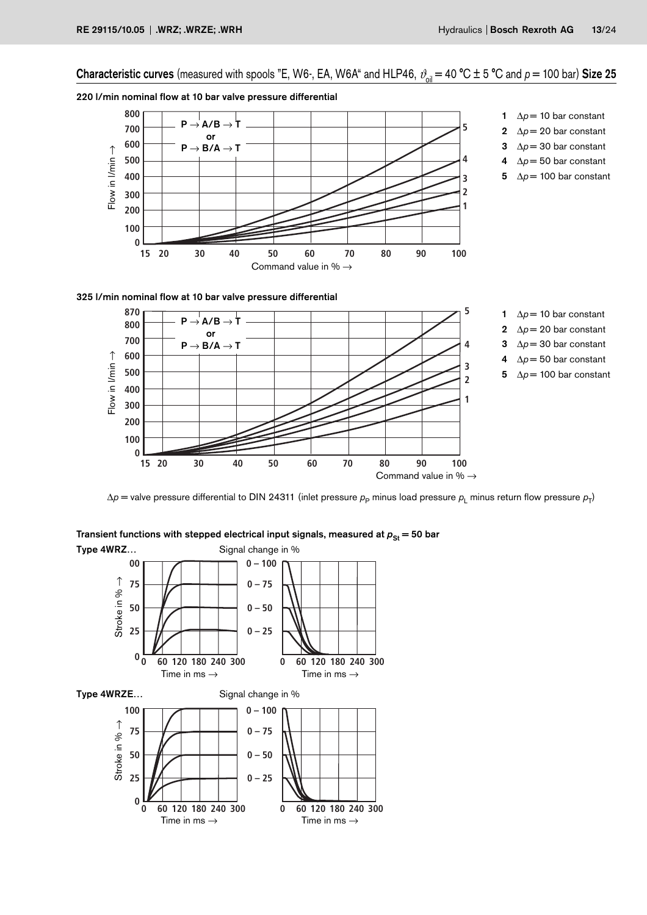Characteristic curves (measured with spools "E, W6-, EA, W6A" and HLP46,  $\vartheta_{\text{oil}} = 40 \text{ °C} \pm 5 \text{ °C}$  and  $\rho = 100 \text{ bar}$ ) Size 25

220 l/min nominal flow at 10 bar valve pressure differential



325 l/min nominal flow at 10 bar valve pressure differential



Transient functions with stepped electrical input signals, measured at  $p_{St} = 50$  bar Type 4WRZ… Signal change in %

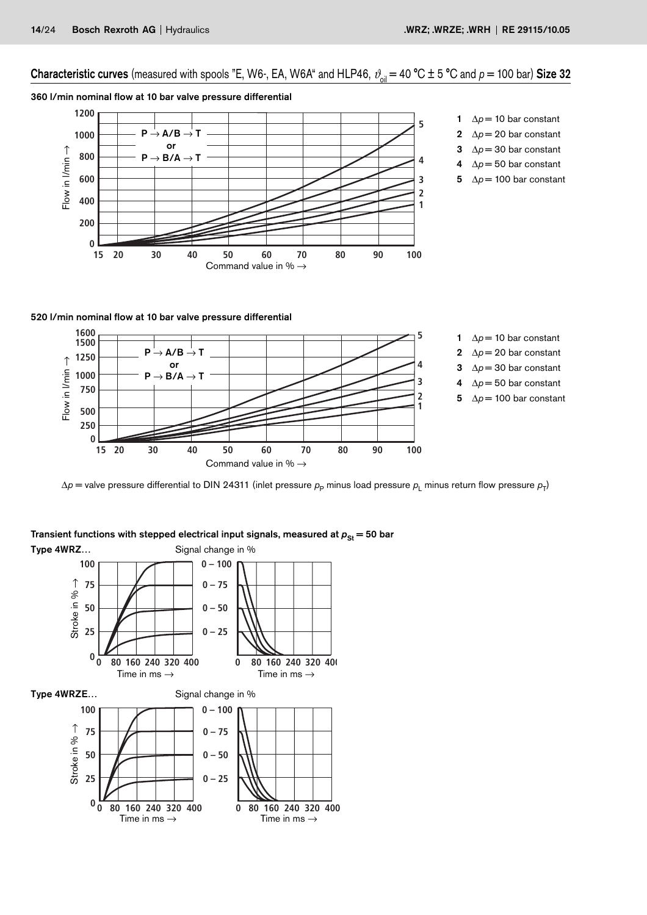# Characteristic curves (measured with spools "E, W6-, EA, W6A" and HLP46,  $\vartheta_{\text{oil}} = 40 \text{ °C} \pm 5 \text{ °C}$  and  $p = 100 \text{ bar}$ ) Size 32

## 360 l/min nominal flow at 10 bar valve pressure differential



- 1  $\Delta p = 10$  bar constant
- 2  $\Delta p = 20$  bar constant
- 3  $\Delta p = 30$  bar constant
- 4 ∆*p* = 50 bar constant 5  $\Delta p = 100$  bar constant

520 l/min nominal flow at 10 bar valve pressure differential



Type 4WRZ… Signal change in % **100 0 – 100** Stroke in %  $\rightarrow$ Stroke in % → **75 0 – 75 50 0 – 50 25 0 – 25 <sup>0</sup> <sup>0</sup> <sup>80</sup> <sup>160</sup> <sup>240</sup> <sup>320</sup> <sup>400</sup> 0 80 160 240 320 400** Time in ms  $\rightarrow$  Time in ms  $\rightarrow$ Type 4WRZE... Signal change in % **100 0 – 100** Stroke in %  $\rightarrow$ Stroke in % → **75 0 – 75 50 0 – 50 0 – 25 25**  $0 \frac{W}{\frac{1}{100}}$  **160 240 320 400**<br>Time in ms  $\rightarrow$ **0 80 160 240 320 400** Time in ms  $\rightarrow$ 

# Transient functions with stepped electrical input signals, measured at  $p_{St} = 50$  bar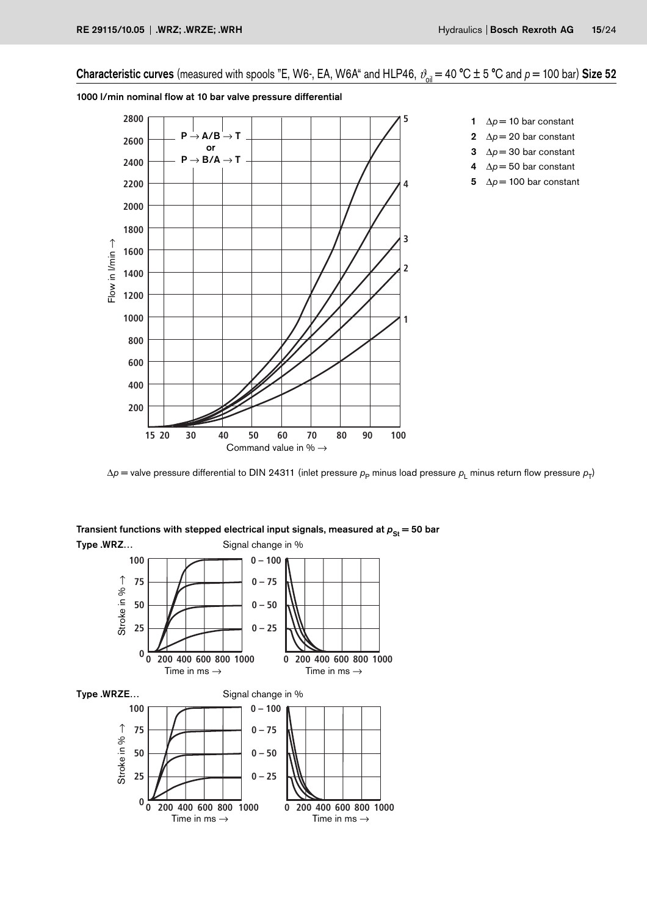# Characteristic curves (measured with spools "E, W6-, EA, W6A" and HLP46,  $\vartheta_{\text{oil}} = 40 \degree C \pm 5 \degree C$  and  $p = 100$  bar) Size 52





- 1  $\Delta p = 10$  bar constant
- 2  $\Delta p = 20$  bar constant
- 3  $\Delta p = 30$  bar constant
- 4 ∆*p* = 50 bar constant
- 5  $\Delta p = 100$  bar constant

Transient functions with stepped electrical input signals, measured at  $p_{St} = 50$  bar Type .WRZ… Signal change in %

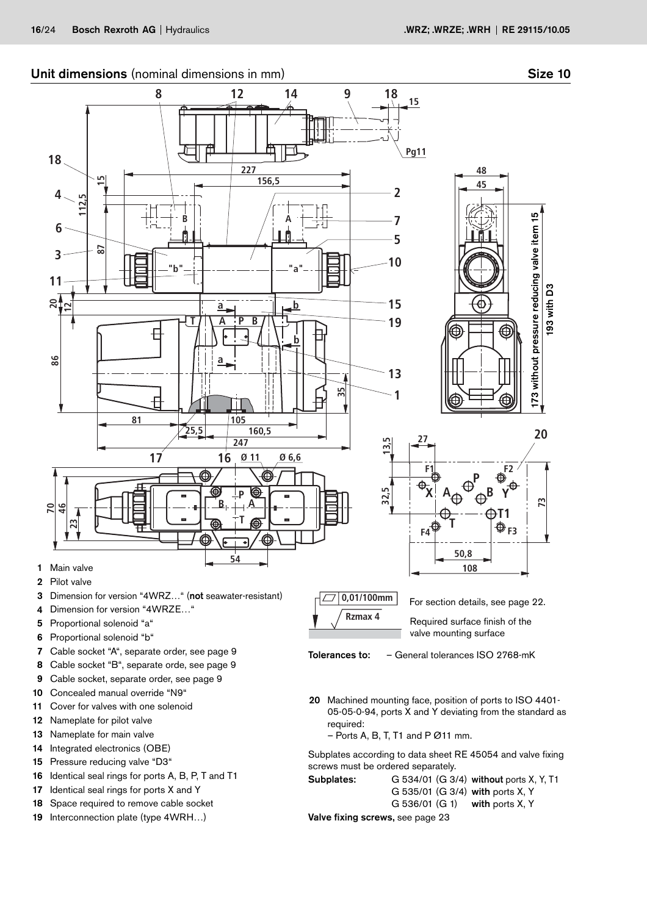

- 6 Proportional solenoid "b"
- 7 Cable socket "A", separate order, see page 9
- 8 Cable socket "B", separate orde, see page 9
- 9 Cable socket, separate order, see page 9
- 10 Concealed manual override "N9"
- 11 Cover for valves with one solenoid
- 12 Nameplate for pilot valve
- 13 Nameplate for main valve
- 14 Integrated electronics (OBE)
- 15 Pressure reducing valve "D3"
- 16 Identical seal rings for ports A, B, P, T and T1
- 17 Identical seal rings for ports X and Y
- 18 Space required to remove cable socket
- 19 Interconnection plate (type 4WRH…)

valve mounting surface

Tolerances to: – General tolerances ISO 2768-mK

20 Machined mounting face, position of ports to ISO 4401- 05-05-0-94, ports X and Y deviating from the standard as required:

 $-$  Ports A, B, T, T1 and P Ø11 mm.

Subplates according to data sheet RE 45054 and valve fixing screws must be ordered separately.

Subplates: G 534/01 (G 3/4) without ports X, Y, T1 G 535/01 (G 3/4) with ports X, Y G 536/01 (G 1) with ports X, Y

Valve fixing screws, see page 23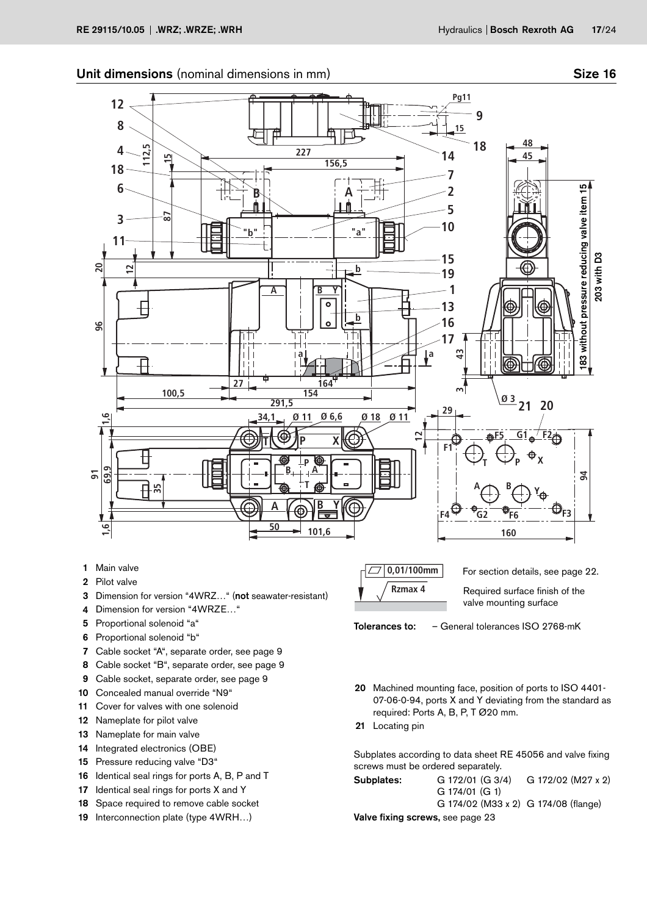

- 1 Main valve
- 2 Pilot valve
- 3 Dimension for version "4WRZ…" (not seawater-resistant)
- 4 Dimension for version "4WRZE…"
- 5 Proportional solenoid "a"
- 6 Proportional solenoid "b"
- 7 Cable socket "A", separate order, see page 9
- 8 Cable socket "B", separate order, see page 9
- 9 Cable socket, separate order, see page 9
- 10 Concealed manual override "N9"
- 11 Cover for valves with one solenoid
- 12 Nameplate for pilot valve
- 13 Nameplate for main valve
- 14 Integrated electronics (OBE)
- 15 Pressure reducing valve "D3"
- 16 Identical seal rings for ports A, B, P and T
- 17 Identical seal rings for ports X and Y
- 18 Space required to remove cable socket
- 19 Interconnection plate (type 4WRH...)

**0,01/100mm Rzmax 4** For section details, see page 22. Required surface finish of the valve mounting surface



- 20 Machined mounting face, position of ports to ISO 4401- 07-06-0-94, ports X and Y deviating from the standard as required: Ports A, B, P, T Ø20 mm.
- 21 Locating pin

Subplates according to data sheet RE 45056 and valve fixing screws must be ordered separately.

| Subplates:                       | G 172/01 (G 3/4)                     | G 172/02 (M27 x 2) |  |  |  |  |  |  |
|----------------------------------|--------------------------------------|--------------------|--|--|--|--|--|--|
|                                  | $G$ 174/01 $(G_1)$                   |                    |  |  |  |  |  |  |
|                                  | G 174/02 (M33 x 2) G 174/08 (flange) |                    |  |  |  |  |  |  |
| Valve fixing screws, see page 23 |                                      |                    |  |  |  |  |  |  |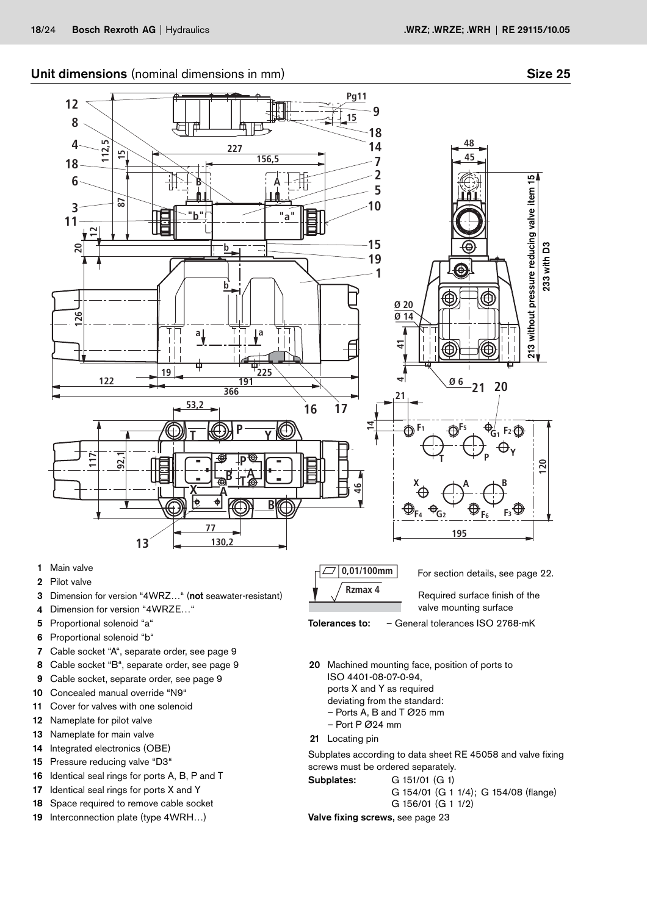

- 8 Cable socket "B", separate order, see page 9
- 9 Cable socket, separate order, see page 9
- 10 Concealed manual override "N9"
- 11 Cover for valves with one solenoid
- 12 Nameplate for pilot valve
- 13 Nameplate for main valve
- 14 Integrated electronics (OBE)
- 15 Pressure reducing valve "D3"
- 16 Identical seal rings for ports A, B, P and T
- 17 Identical seal rings for ports X and Y
- 18 Space required to remove cable socket
- 19 Interconnection plate (type 4WRH…)

ports X and Y as required deviating from the standard: – Ports A, B and T Ø25 mm

– Port P Ø24 mm 21 Locating pin

ISO 4401-08-07-0-94,

Subplates according to data sheet RE 45058 and valve fixing screws must be ordered separately.

Subplates: G 151/01 (G 1) G 154/01 (G 1 1/4); G 154/08 (flange)

G 156/01 (G 1 1/2)

Valve fixing screws, see page 23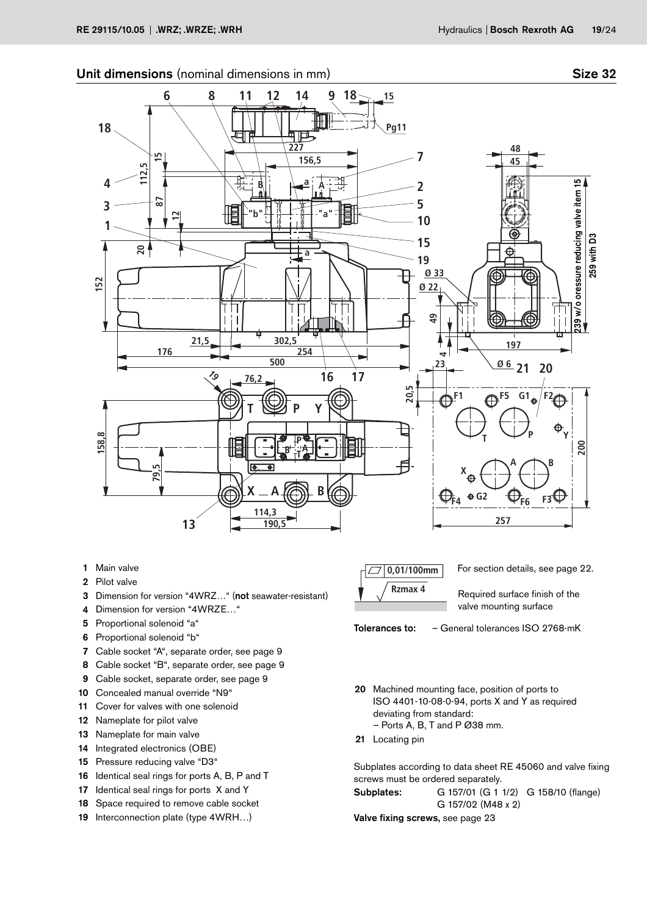



- 1 Main valve
- 2 Pilot valve
- 3 Dimension for version "4WRZ…" (not seawater-resistant)
- 4 Dimension for version "4WRZE…"
- 5 Proportional solenoid "a"
- 6 Proportional solenoid "b"
- 7 Cable socket "A", separate order, see page 9
- 8 Cable socket "B", separate order, see page 9
- 9 Cable socket, separate order, see page 9
- 10 Concealed manual override "N9"
- 11 Cover for valves with one solenoid
- 12 Nameplate for pilot valve
- 13 Nameplate for main valve
- 14 Integrated electronics (OBE)
- 15 Pressure reducing valve "D3"
- 16 Identical seal rings for ports A, B, P and T
- 17 Identical seal rings for ports X and Y
- 18 Space required to remove cable socket
- 19 Interconnection plate (type 4WRH...)



Tolerances to: – General tolerances ISO 2768-mK

- 20 Machined mounting face, position of ports to ISO 4401-10-08-0-94, ports X and Y as required deviating from standard:  $-$  Ports A, B, T and P  $\emptyset$ 38 mm.
- 21 Locating pin

Subplates according to data sheet RE 45060 and valve fixing screws must be ordered separately. Subplates: G 157/01 (G 1 1/2) G 158/10 (flange)

G 157/02 (M48 x 2)

Valve fixing screws, see page 23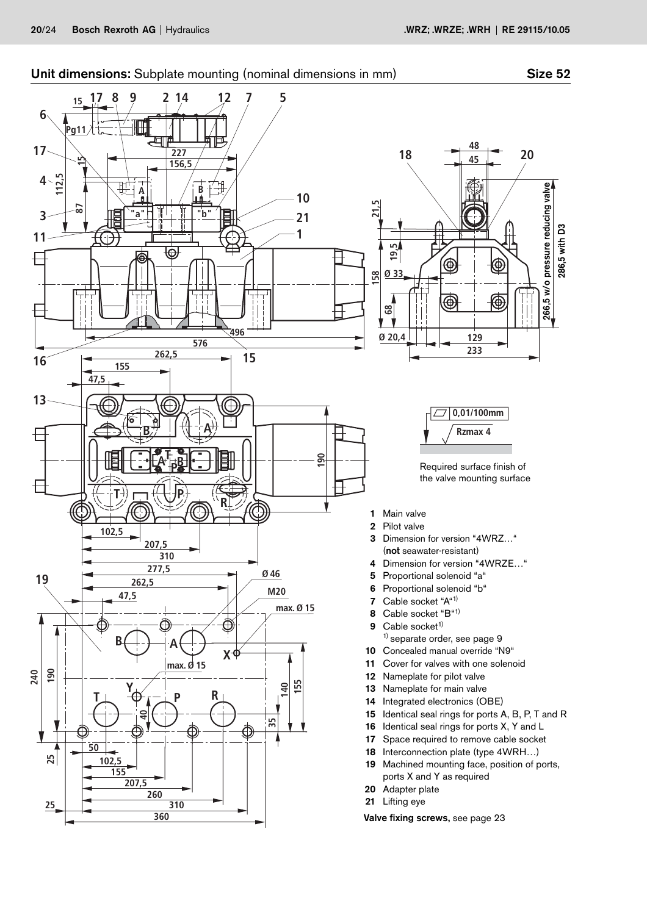# Unit dimensions: Subplate mounting (nominal dimensions in mm) Size 52

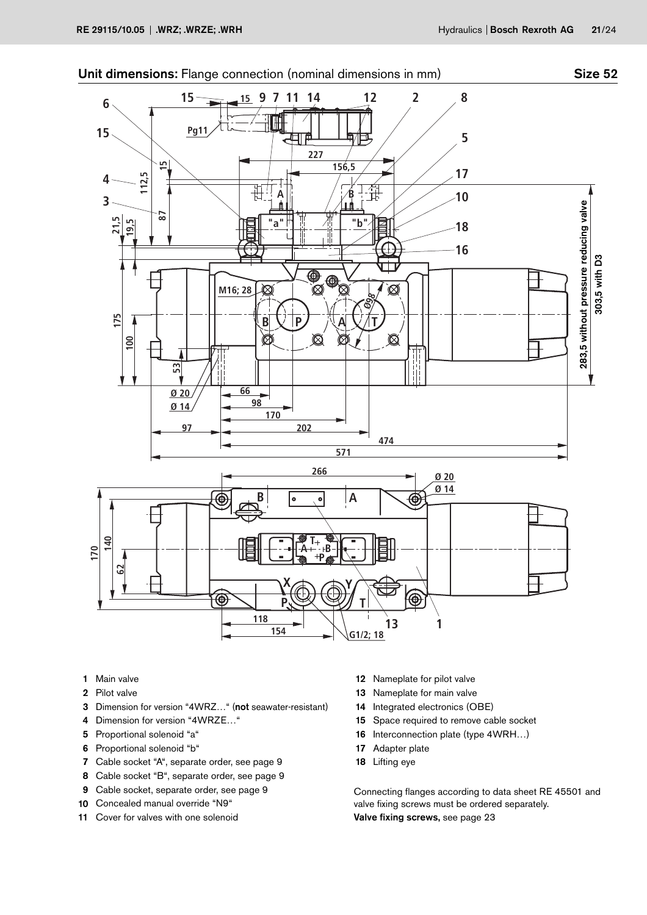

- 1 Main valve
- 2 Pilot valve
- 3 Dimension for version "4WRZ…" (not seawater-resistant)
- 4 Dimension for version "4WRZE..."
- 5 Proportional solenoid "a"
- 6 Proportional solenoid "b"
- 7 Cable socket "A", separate order, see page 9
- 8 Cable socket "B", separate order, see page 9
- 9 Cable socket, separate order, see page 9
- 10 Concealed manual override "N9"
- 11 Cover for valves with one solenoid
- 12 Nameplate for pilot valve
- 13 Nameplate for main valve
- 14 Integrated electronics (OBE)
- 15 Space required to remove cable socket
- 16 Interconnection plate (type 4WRH…)
- 17 Adapter plate
- 18 Lifting eye

Connecting flanges according to data sheet RE 45501 and valve fixing screws must be ordered separately. Valve fixing screws, see page 23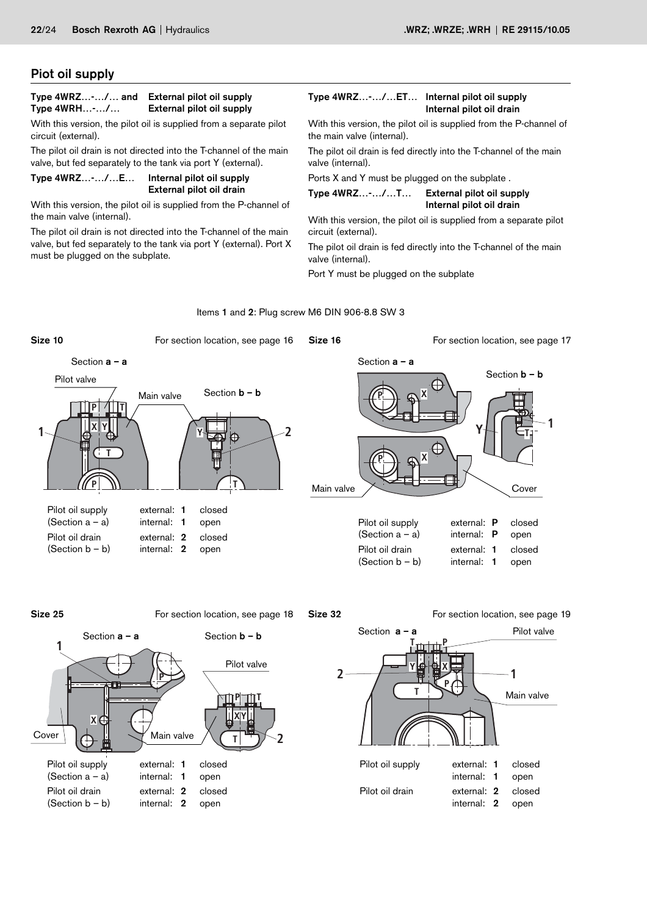# Piot oil supply

# Type 4WRZ…-…/… and External pilot oil supply Type 4WRH…-…/… External pilot oil supply

With this version, the pilot oil is supplied from a separate pilot circuit (external).

The pilot oil drain is not directed into the T-channel of the main valve, but fed separately to the tank via port Y (external).

#### Type 4WRZ…-…/…E… Internal pilot oil supply External pilot oil drain

With this version, the pilot oil is supplied from the P-channel of the main valve (internal).

The pilot oil drain is not directed into the T-channel of the main valve, but fed separately to the tank via port Y (external). Port X must be plugged on the subplate.

#### Type 4WRZ…-…/…ET… Internal pilot oil supply Internal pilot oil drain

With this version, the pilot oil is supplied from the P-channel of the main valve (internal).

The pilot oil drain is fed directly into the T-channel of the main valve (internal).

Ports X and Y must be plugged on the subplate .

Type 4WRZ…-…/…T… External pilot oil supply Internal pilot oil drain

With this version, the pilot oil is supplied from a separate pilot circuit (external).

The pilot oil drain is fed directly into the T-channel of the main valve (internal).

Port Y must be plugged on the subplate

#### Items 1 and 2: Plug screw M6 DIN 906-8.8 SW 3









Size 32 **For section location, see page 19** 



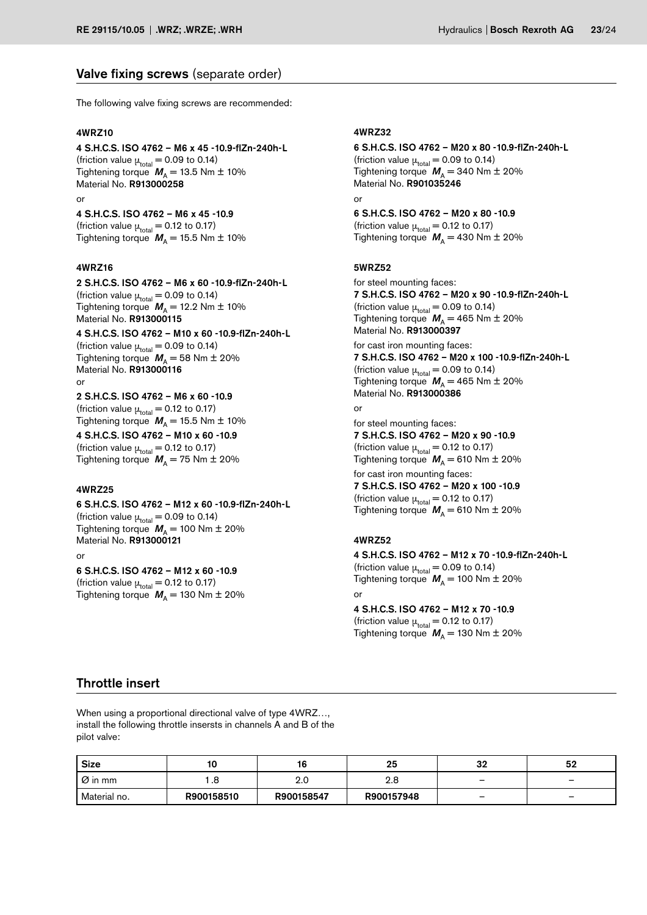# Valve fixing screws (separate order)

The following valve fixing screws are recommended:

#### 4WRZ10

4 S.H.C.S. ISO 4762 – M6 x 45 -10.9-flZn-240h-L (friction value  $\mu_{\text{total}} = 0.09$  to 0.14) Tightening torque  $M_A = 13.5$  Nm  $\pm$  10% Material No. R913000258

#### or

4 S.H.C.S. ISO 4762 – M6 x 45 -10.9 (friction value  $\mu_{\text{total}} = 0.12$  to 0.17) Tightening torque  $M_A = 15.5$  Nm  $\pm$  10%

#### 4WRZ16

2 S.H.C.S. ISO 4762 – M6 x 60 -10.9-flZn-240h-L (friction value  $\mu_{\text{total}} = 0.09$  to 0.14) Tightening torque  $M_A = 12.2$  Nm  $\pm$  10% Material No. R913000115

4 S.H.C.S. ISO 4762 – M10 x 60 -10.9-flZn-240h-L (friction value  $\mu_{\text{total}} = 0.09$  to 0.14) Tightening torque  $\textit{M}_{\textrm{A}}$  = 58 Nm  $\pm$  20% Material No. R913000116

#### or

2 S.H.C.S. ISO 4762 – M6 x 60 -10.9 (friction value  $\mu_{\text{total}} = 0.12$  to 0.17)

 ${\sf T }$ ightening torque  $\textbf{\textit{M}}_{\mathsf{A}}$   $=$  15.5 Nm  $\pm$  10% 4 S.H.C.S. ISO 4762 – M10 x 60 -10.9 (friction value  $\mu_{\text{total}} = 0.12$  to 0.17) Tightening torque  $M_A = 75$  Nm  $\pm$  20%

#### 4WRZ25

6 S.H.C.S. ISO 4762 – M12 x 60 -10.9-flZn-240h-L (friction value  $\mu_{total} = 0.09$  to 0.14) Tightening torque  $M_A = 100$  Nm  $\pm 20\%$ Material No. R913000121 or

6 S.H.C.S. ISO 4762 – M12 x 60 -10.9 (friction value  $\mu_{\text{total}} = 0.12$  to 0.17) Tightening torque  $M_A = 130$  Nm  $\pm$  20%

#### 4WRZ32

6 S.H.C.S. ISO 4762 – M20 x 80 -10.9-flZn-240h-L (friction value  $\mu_{\text{total}} = 0.09$  to 0.14) Tightening torque  $M_A = 340$  Nm  $\pm$  20% Material No. R901035246 or

6 S.H.C.S. ISO 4762 – M20 x 80 -10.9 (friction value  $\mu_{\text{total}} = 0.12$  to 0.17) Tightening torque  $M_A = 430$  Nm  $\pm 20$ %

#### 5WRZ52

for steel mounting faces: 7 S.H.C.S. ISO 4762 – M20 x 90 -10.9-flZn-240h-L (friction value  $\mu_{total} = 0.09$  to 0.14) Tightening torque  $M_A = 465$  Nm  $\pm$  20% Material No. R913000397

for cast iron mounting faces: 7 S.H.C.S. ISO 4762 – M20 x 100 -10.9-flZn-240h-L (friction value  $\mu_{\text{total}} = 0.09$  to 0.14) Tightening torque  $M_A = 465$  Nm  $\pm$  20% Material No. R913000386

# or

for steel mounting faces: 7 S.H.C.S. ISO 4762 – M20 x 90 -10.9 (friction value  $\mu_{\text{total}} = 0.12$  to 0.17) Tightening torque  $M_A = 610$  Nm  $\pm$  20%

for cast iron mounting faces: 7 S.H.C.S. ISO 4762 – M20 x 100 -10.9 (friction value  $\mu_{total} = 0.12$  to 0.17) Tightening torque  $M_A = 610$  Nm  $\pm$  20%

#### 4WRZ52

4 S.H.C.S. ISO 4762 – M12 x 70 -10.9-flZn-240h-L (friction value  $\mu_{\text{total}} = 0.09$  to 0.14) Tightening torque  $M_A = 100$  Nm  $\pm$  20% or

4 S.H.C.S. ISO 4762 – M12 x 70 -10.9 (friction value  $\mu_{total} = 0.12$  to 0.17) Tightening torque  $M_A = 130$  Nm  $\pm 20\%$ 

# Throttle insert

When using a proportional directional valve of type 4WRZ…, install the following throttle insersts in channels A and B of the pilot valve:

| <b>Size</b>               | 10         | 16         | 25         | 32                       | 52                       |
|---------------------------|------------|------------|------------|--------------------------|--------------------------|
| $\overline{\omega}$ in mm |            | 2.0        | 2.8        | $\overline{\phantom{0}}$ | $\overline{\phantom{a}}$ |
| ' Material no.            | R900158510 | R900158547 | R900157948 | $\overline{\phantom{0}}$ | $\overline{\phantom{0}}$ |